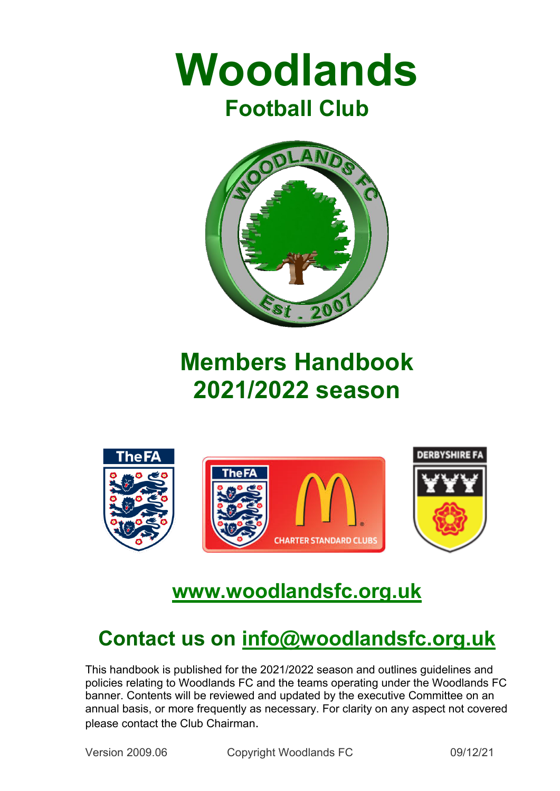



# **Members Handbook 2021/2022 season**



## **www.woodlandsfc.org.uk**

## **Contact us on info@woodlandsfc.org.uk**

This handbook is published for the 2021/2022 season and outlines guidelines and policies relating to Woodlands FC and the teams operating under the Woodlands FC banner. Contents will be reviewed and updated by the executive Committee on an annual basis, or more frequently as necessary. For clarity on any aspect not covered please contact the Club Chairman.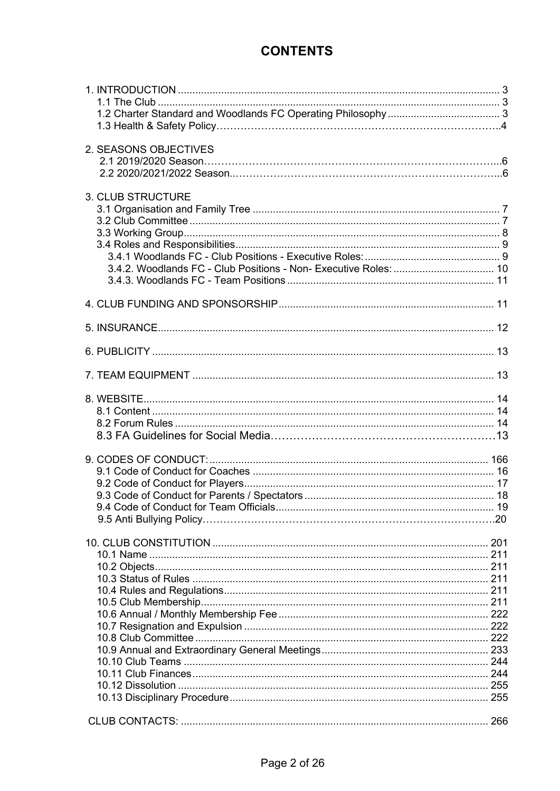## **CONTENTS**

| 2. SEASONS OBJECTIVES                                                                        |  |
|----------------------------------------------------------------------------------------------|--|
| <b>3. CLUB STRUCTURE</b><br>3.4.2. Woodlands FC - Club Positions - Non- Executive Roles:  10 |  |
|                                                                                              |  |
|                                                                                              |  |
|                                                                                              |  |
|                                                                                              |  |
|                                                                                              |  |
|                                                                                              |  |
|                                                                                              |  |
|                                                                                              |  |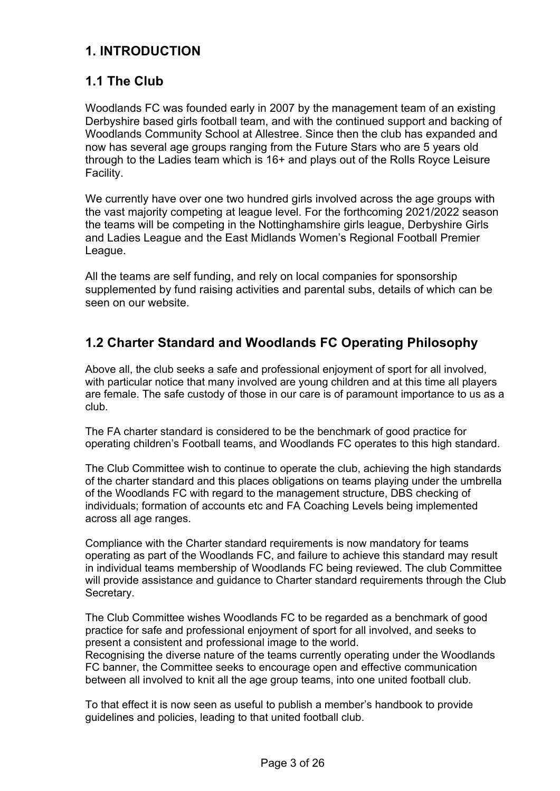## **1. INTRODUCTION**

## **1.1 The Club**

Woodlands FC was founded early in 2007 by the management team of an existing Derbyshire based girls football team, and with the continued support and backing of Woodlands Community School at Allestree. Since then the club has expanded and now has several age groups ranging from the Future Stars who are 5 years old through to the Ladies team which is 16+ and plays out of the Rolls Royce Leisure Facility.

We currently have over one two hundred girls involved across the age groups with the vast majority competing at league level. For the forthcoming 2021/2022 season the teams will be competing in the Nottinghamshire girls league, Derbyshire Girls and Ladies League and the East Midlands Women's Regional Football Premier League.

All the teams are self funding, and rely on local companies for sponsorship supplemented by fund raising activities and parental subs, details of which can be seen on our website.

## **1.2 Charter Standard and Woodlands FC Operating Philosophy**

Above all, the club seeks a safe and professional enjoyment of sport for all involved, with particular notice that many involved are young children and at this time all players are female. The safe custody of those in our care is of paramount importance to us as a club.

The FA charter standard is considered to be the benchmark of good practice for operating children's Football teams, and Woodlands FC operates to this high standard.

The Club Committee wish to continue to operate the club, achieving the high standards of the charter standard and this places obligations on teams playing under the umbrella of the Woodlands FC with regard to the management structure, DBS checking of individuals; formation of accounts etc and FA Coaching Levels being implemented across all age ranges.

Compliance with the Charter standard requirements is now mandatory for teams operating as part of the Woodlands FC, and failure to achieve this standard may result in individual teams membership of Woodlands FC being reviewed. The club Committee will provide assistance and guidance to Charter standard requirements through the Club Secretary.

The Club Committee wishes Woodlands FC to be regarded as a benchmark of good practice for safe and professional enjoyment of sport for all involved, and seeks to present a consistent and professional image to the world.

Recognising the diverse nature of the teams currently operating under the Woodlands FC banner, the Committee seeks to encourage open and effective communication between all involved to knit all the age group teams, into one united football club.

To that effect it is now seen as useful to publish a member's handbook to provide guidelines and policies, leading to that united football club.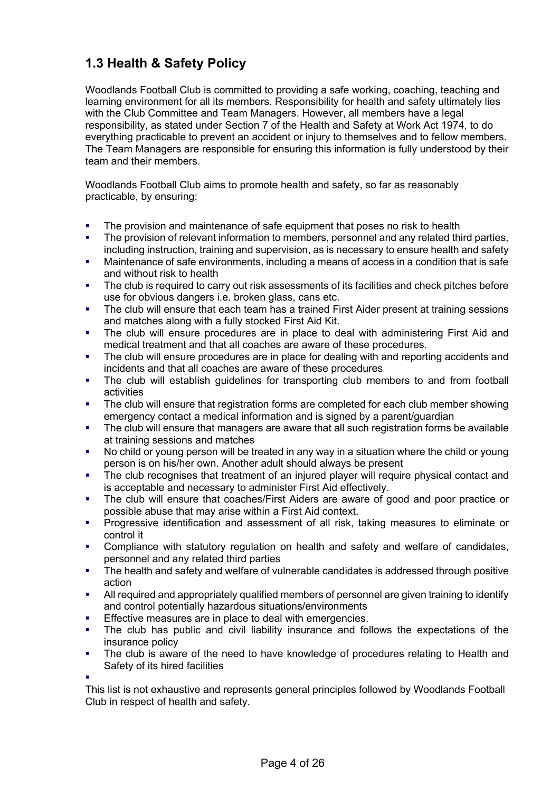## **1.3 Health & Safety Policy**

Woodlands Football Club is committed to providing a safe working, coaching, teaching and learning environment for all its members. Responsibility for health and safety ultimately lies with the Club Committee and Team Managers. However, all members have a legal responsibility, as stated under Section 7 of the Health and Safety at Work Act 1974, to do everything practicable to prevent an accident or injury to themselves and to fellow members. The Team Managers are responsible for ensuring this information is fully understood by their team and their members.

Woodlands Football Club aims to promote health and safety, so far as reasonably practicable, by ensuring:

- The provision and maintenance of safe equipment that poses no risk to health
- The provision of relevant information to members, personnel and any related third parties, including instruction, training and supervision, as is necessary to ensure health and safety
- Maintenance of safe environments, including a means of access in a condition that is safe and without risk to health
- The club is required to carry out risk assessments of its facilities and check pitches before use for obvious dangers i.e. broken glass, cans etc.
- The club will ensure that each team has a trained First Aider present at training sessions and matches along with a fully stocked First Aid Kit.
- The club will ensure procedures are in place to deal with administering First Aid and medical treatment and that all coaches are aware of these procedures.
- The club will ensure procedures are in place for dealing with and reporting accidents and incidents and that all coaches are aware of these procedures
- The club will establish guidelines for transporting club members to and from football activities
- The club will ensure that registration forms are completed for each club member showing emergency contact a medical information and is signed by a parent/guardian
- The club will ensure that managers are aware that all such registration forms be available at training sessions and matches
- No child or young person will be treated in any way in a situation where the child or young person is on his/her own. Another adult should always be present
- The club recognises that treatment of an injured player will require physical contact and is acceptable and necessary to administer First Aid effectively.
- The club will ensure that coaches/First Aiders are aware of good and poor practice or possible abuse that may arise within a First Aid context.
- § Progressive identification and assessment of all risk, taking measures to eliminate or control it
- Compliance with statutory regulation on health and safety and welfare of candidates, personnel and any related third parties
- The health and safety and welfare of vulnerable candidates is addressed through positive action
- All required and appropriately qualified members of personnel are given training to identify and control potentially hazardous situations/environments
- Effective measures are in place to deal with emergencies.
- The club has public and civil liability insurance and follows the expectations of the insurance policy
- The club is aware of the need to have knowledge of procedures relating to Health and Safety of its hired facilities

§

This list is not exhaustive and represents general principles followed by Woodlands Football Club in respect of health and safety.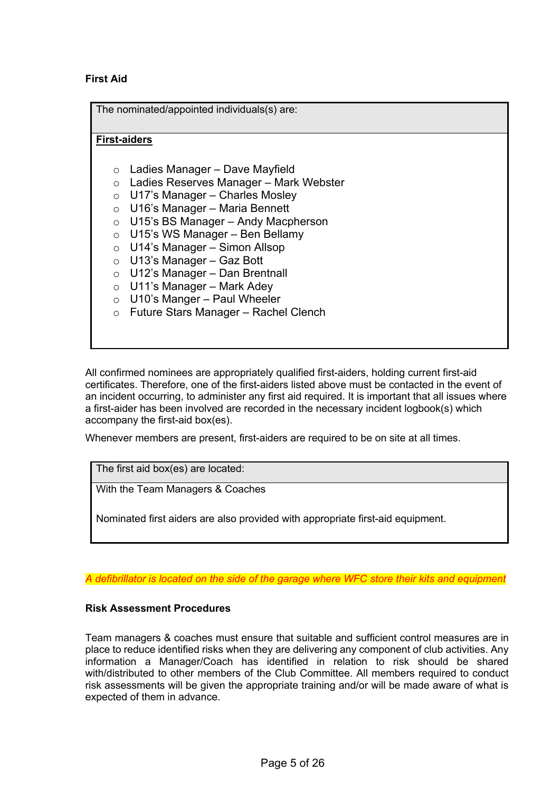#### **First Aid**

The nominated/appointed individuals(s) are:

#### **First-aiders**

- o Ladies Manager Dave Mayfield
- o Ladies Reserves Manager Mark Webster
- o U17's Manager Charles Mosley
- $\circ$  U16's Manager Maria Bennett
- o U15's BS Manager Andy Macpherson
- $\circ$  U15's WS Manager Ben Bellamy
- o U14's Manager Simon Allsop
- $\circ$  U13's Manager Gaz Bott
- $\circ$  U12's Manager Dan Brentnall
- $\circ$  U11's Manager Mark Adey
- $\circ$  U10's Manger Paul Wheeler
- o Future Stars Manager Rachel Clench

All confirmed nominees are appropriately qualified first-aiders, holding current first-aid certificates. Therefore, one of the first-aiders listed above must be contacted in the event of an incident occurring, to administer any first aid required. It is important that all issues where a first-aider has been involved are recorded in the necessary incident logbook(s) which accompany the first-aid box(es).

Whenever members are present, first-aiders are required to be on site at all times.

The first aid box(es) are located:

With the Team Managers & Coaches

Nominated first aiders are also provided with appropriate first-aid equipment.

*A defibrillator is located on the side of the garage where WFC store their kits and equipment*

#### **Risk Assessment Procedures**

Team managers & coaches must ensure that suitable and sufficient control measures are in place to reduce identified risks when they are delivering any component of club activities. Any information a Manager/Coach has identified in relation to risk should be shared with/distributed to other members of the Club Committee. All members required to conduct risk assessments will be given the appropriate training and/or will be made aware of what is expected of them in advance.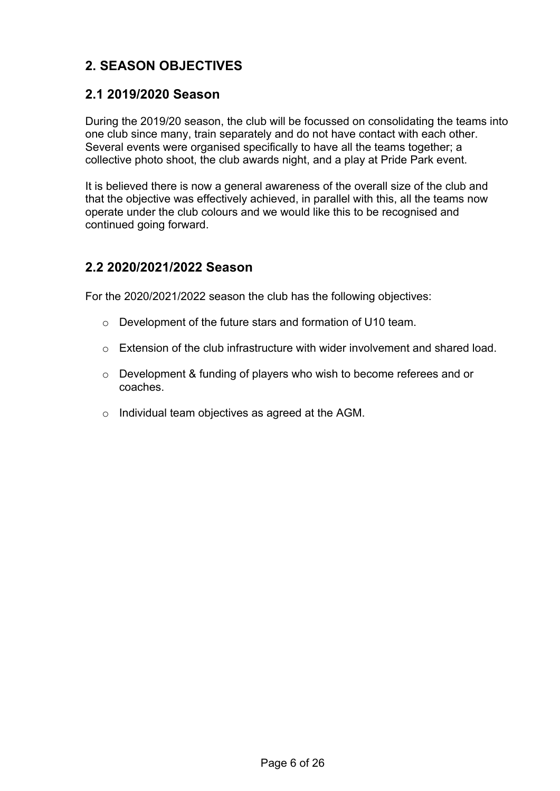## **2. SEASON OBJECTIVES**

#### **2.1 2019/2020 Season**

During the 2019/20 season, the club will be focussed on consolidating the teams into one club since many, train separately and do not have contact with each other. Several events were organised specifically to have all the teams together; a collective photo shoot, the club awards night, and a play at Pride Park event.

It is believed there is now a general awareness of the overall size of the club and that the objective was effectively achieved, in parallel with this, all the teams now operate under the club colours and we would like this to be recognised and continued going forward.

#### **2.2 2020/2021/2022 Season**

For the 2020/2021/2022 season the club has the following objectives:

- o Development of the future stars and formation of U10 team.
- o Extension of the club infrastructure with wider involvement and shared load.
- o Development & funding of players who wish to become referees and or coaches.
- o Individual team objectives as agreed at the AGM.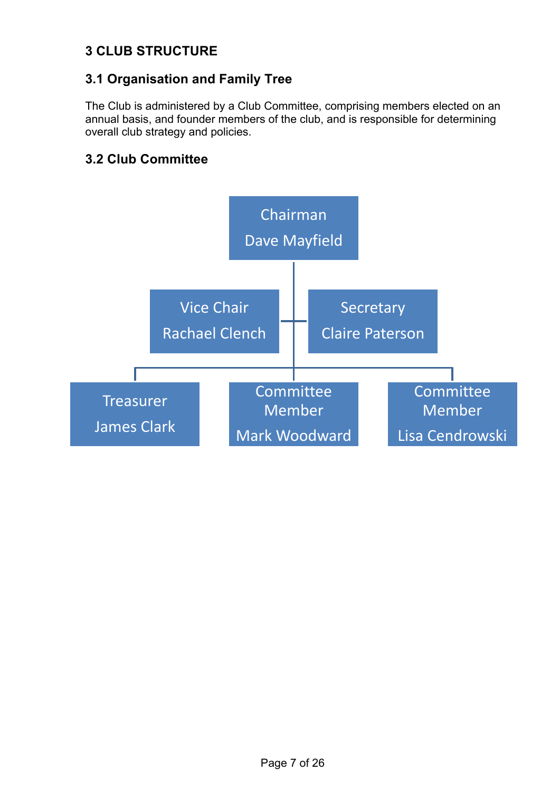## **3 CLUB STRUCTURE**

## **3.1 Organisation and Family Tree**

The Club is administered by a Club Committee, comprising members elected on an annual basis, and founder members of the club, and is responsible for determining overall club strategy and policies.

## **3.2 Club Committee**

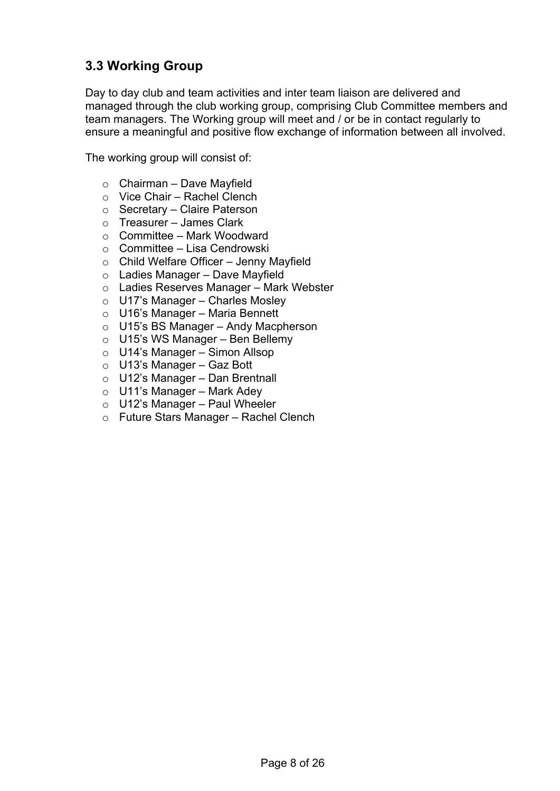## **3.3 Working Group**

Day to day club and team activities and inter team liaison are delivered and managed through the club working group, comprising Club Committee members and team managers. The Working group will meet and / or be in contact regularly to ensure a meaningful and positive flow exchange of information between all involved.

The working group will consist of:

- $\circ$  Chairman Dave Mayfield
- o Vice Chair Rachel Clench
- o Secretary Claire Paterson
- o Treasurer James Clark
- $\circ$  Committee Mark Woodward
- o Committee Lisa Cendrowski
- o Child Welfare Officer Jenny Mayfield
- o Ladies Manager Dave Mayfield
- o Ladies Reserves Manager Mark Webster
- o U17's Manager Charles Mosley
- o U16's Manager Maria Bennett
- o U15's BS Manager Andy Macpherson
- o U15's WS Manager Ben Bellemy
- o U14's Manager Simon Allsop
- $\circ$  U13's Manager Gaz Bott
- $\circ$  U12's Manager Dan Brentnall
- $\circ$  U11's Manager Mark Adey
- $\circ$  U12's Manager Paul Wheeler
- o Future Stars Manager Rachel Clench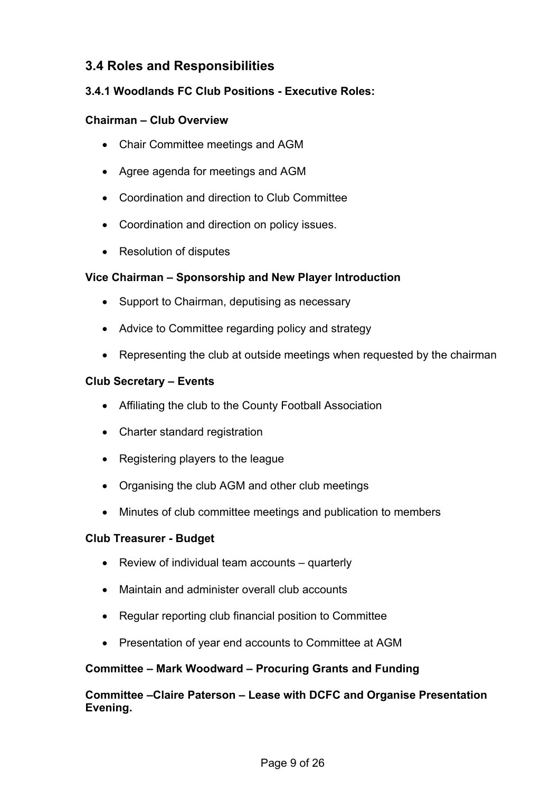## **3.4 Roles and Responsibilities**

#### **3.4.1 Woodlands FC Club Positions - Executive Roles:**

#### **Chairman – Club Overview**

- Chair Committee meetings and AGM
- Agree agenda for meetings and AGM
- Coordination and direction to Club Committee
- Coordination and direction on policy issues.
- Resolution of disputes

#### **Vice Chairman – Sponsorship and New Player Introduction**

- Support to Chairman, deputising as necessary
- Advice to Committee regarding policy and strategy
- Representing the club at outside meetings when requested by the chairman

#### **Club Secretary – Events**

- Affiliating the club to the County Football Association
- Charter standard registration
- Registering players to the league
- Organising the club AGM and other club meetings
- Minutes of club committee meetings and publication to members

#### **Club Treasurer - Budget**

- Review of individual team accounts quarterly
- Maintain and administer overall club accounts
- Regular reporting club financial position to Committee
- Presentation of year end accounts to Committee at AGM

#### **Committee – Mark Woodward – Procuring Grants and Funding**

#### **Committee –Claire Paterson – Lease with DCFC and Organise Presentation Evening.**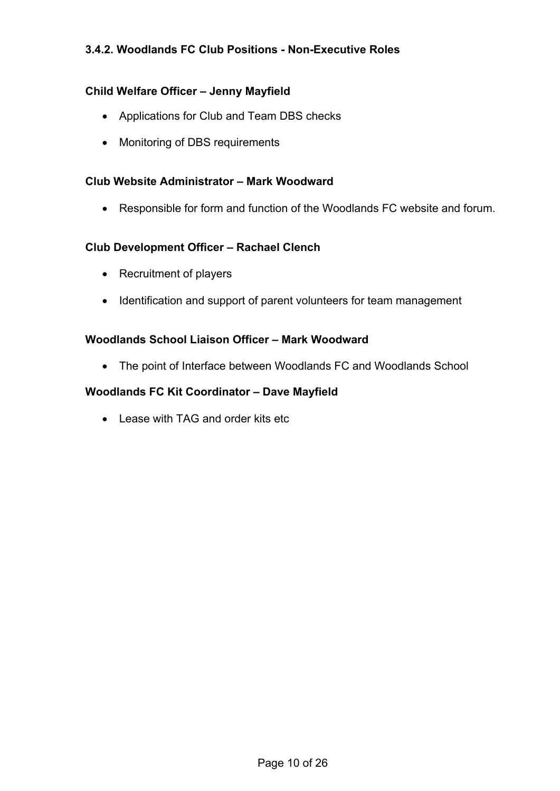#### **3.4.2. Woodlands FC Club Positions - Non-Executive Roles**

#### **Child Welfare Officer – Jenny Mayfield**

- Applications for Club and Team DBS checks
- Monitoring of DBS requirements

#### **Club Website Administrator – Mark Woodward**

• Responsible for form and function of the Woodlands FC website and forum.

#### **Club Development Officer – Rachael Clench**

- Recruitment of players
- Identification and support of parent volunteers for team management

#### **Woodlands School Liaison Officer – Mark Woodward**

• The point of Interface between Woodlands FC and Woodlands School

#### **Woodlands FC Kit Coordinator – Dave Mayfield**

• Lease with TAG and order kits etc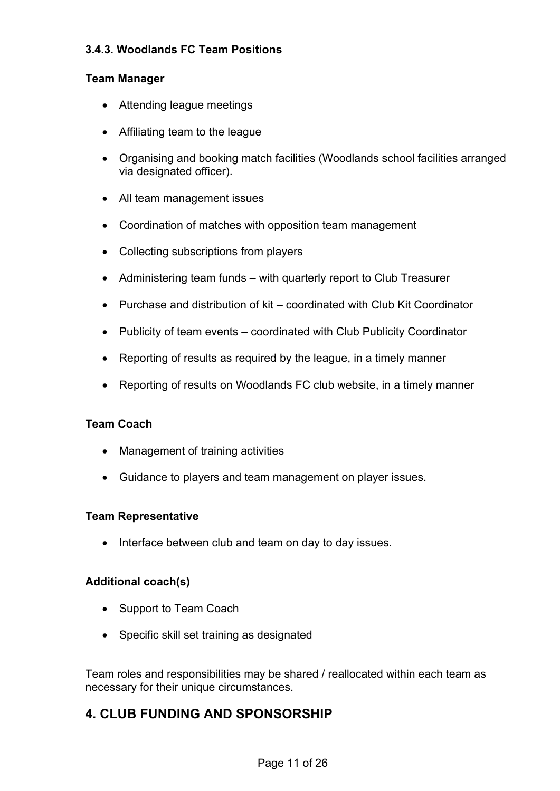#### **3.4.3. Woodlands FC Team Positions**

#### **Team Manager**

- Attending league meetings
- Affiliating team to the league
- Organising and booking match facilities (Woodlands school facilities arranged via designated officer).
- All team management issues
- Coordination of matches with opposition team management
- Collecting subscriptions from players
- Administering team funds with quarterly report to Club Treasurer
- Purchase and distribution of kit coordinated with Club Kit Coordinator
- Publicity of team events coordinated with Club Publicity Coordinator
- Reporting of results as required by the league, in a timely manner
- Reporting of results on Woodlands FC club website, in a timely manner

#### **Team Coach**

- Management of training activities
- Guidance to players and team management on player issues.

#### **Team Representative**

• Interface between club and team on day to day issues.

#### **Additional coach(s)**

- Support to Team Coach
- Specific skill set training as designated

Team roles and responsibilities may be shared / reallocated within each team as necessary for their unique circumstances.

## **4. CLUB FUNDING AND SPONSORSHIP**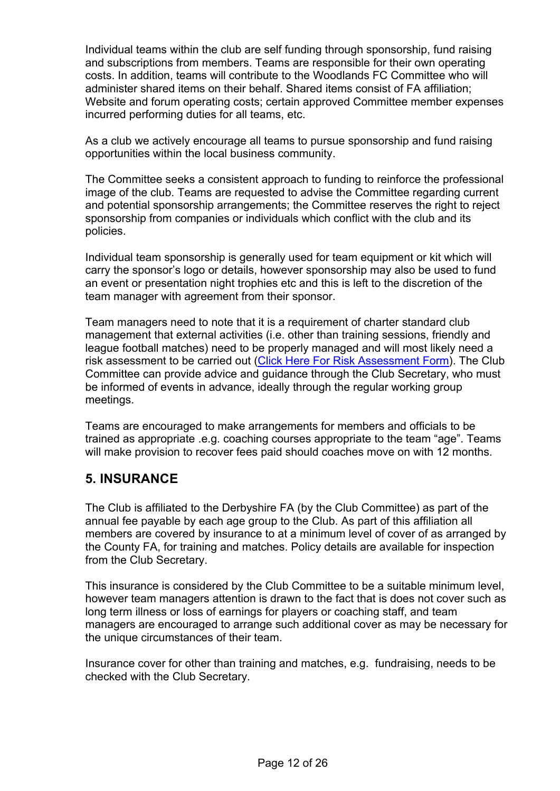Individual teams within the club are self funding through sponsorship, fund raising and subscriptions from members. Teams are responsible for their own operating costs. In addition, teams will contribute to the Woodlands FC Committee who will administer shared items on their behalf. Shared items consist of FA affiliation; Website and forum operating costs; certain approved Committee member expenses incurred performing duties for all teams, etc.

As a club we actively encourage all teams to pursue sponsorship and fund raising opportunities within the local business community.

The Committee seeks a consistent approach to funding to reinforce the professional image of the club. Teams are requested to advise the Committee regarding current and potential sponsorship arrangements; the Committee reserves the right to reject sponsorship from companies or individuals which conflict with the club and its policies.

Individual team sponsorship is generally used for team equipment or kit which will carry the sponsor's logo or details, however sponsorship may also be used to fund an event or presentation night trophies etc and this is left to the discretion of the team manager with agreement from their sponsor.

Team managers need to note that it is a requirement of charter standard club management that external activities (i.e. other than training sessions, friendly and league football matches) need to be properly managed and will most likely need a risk assessment to be carried out (Click Here For Risk Assessment Form). The Club Committee can provide advice and guidance through the Club Secretary, who must be informed of events in advance, ideally through the regular working group meetings.

Teams are encouraged to make arrangements for members and officials to be trained as appropriate .e.g. coaching courses appropriate to the team "age". Teams will make provision to recover fees paid should coaches move on with 12 months.

## **5. INSURANCE**

The Club is affiliated to the Derbyshire FA (by the Club Committee) as part of the annual fee payable by each age group to the Club. As part of this affiliation all members are covered by insurance to at a minimum level of cover of as arranged by the County FA, for training and matches. Policy details are available for inspection from the Club Secretary.

This insurance is considered by the Club Committee to be a suitable minimum level, however team managers attention is drawn to the fact that is does not cover such as long term illness or loss of earnings for players or coaching staff, and team managers are encouraged to arrange such additional cover as may be necessary for the unique circumstances of their team.

Insurance cover for other than training and matches, e.g. fundraising, needs to be checked with the Club Secretary.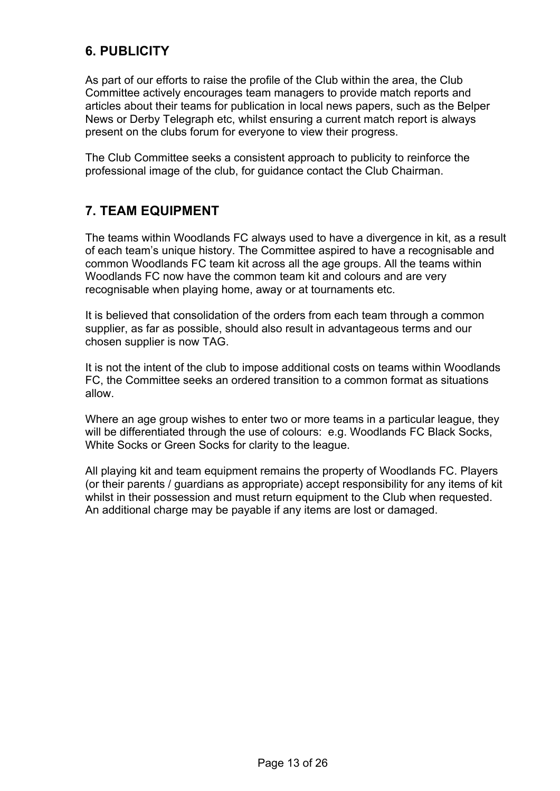## **6. PUBLICITY**

As part of our efforts to raise the profile of the Club within the area, the Club Committee actively encourages team managers to provide match reports and articles about their teams for publication in local news papers, such as the Belper News or Derby Telegraph etc, whilst ensuring a current match report is always present on the clubs forum for everyone to view their progress.

The Club Committee seeks a consistent approach to publicity to reinforce the professional image of the club, for guidance contact the Club Chairman.

#### **7. TEAM EQUIPMENT**

The teams within Woodlands FC always used to have a divergence in kit, as a result of each team's unique history. The Committee aspired to have a recognisable and common Woodlands FC team kit across all the age groups. All the teams within Woodlands FC now have the common team kit and colours and are very recognisable when playing home, away or at tournaments etc.

It is believed that consolidation of the orders from each team through a common supplier, as far as possible, should also result in advantageous terms and our chosen supplier is now TAG.

It is not the intent of the club to impose additional costs on teams within Woodlands FC, the Committee seeks an ordered transition to a common format as situations allow.

Where an age group wishes to enter two or more teams in a particular league, they will be differentiated through the use of colours: e.g. Woodlands FC Black Socks, White Socks or Green Socks for clarity to the league.

All playing kit and team equipment remains the property of Woodlands FC. Players (or their parents / guardians as appropriate) accept responsibility for any items of kit whilst in their possession and must return equipment to the Club when requested. An additional charge may be payable if any items are lost or damaged.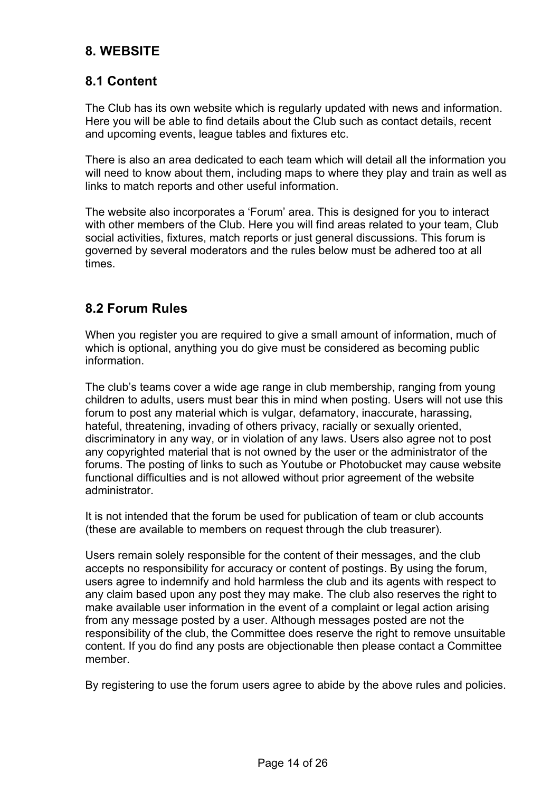## **8. WEBSITE**

## **8.1 Content**

The Club has its own website which is regularly updated with news and information. Here you will be able to find details about the Club such as contact details, recent and upcoming events, league tables and fixtures etc.

There is also an area dedicated to each team which will detail all the information you will need to know about them, including maps to where they play and train as well as links to match reports and other useful information.

The website also incorporates a 'Forum' area. This is designed for you to interact with other members of the Club. Here you will find areas related to your team, Club social activities, fixtures, match reports or just general discussions. This forum is governed by several moderators and the rules below must be adhered too at all times.

#### **8.2 Forum Rules**

When you register you are required to give a small amount of information, much of which is optional, anything you do give must be considered as becoming public information.

The club's teams cover a wide age range in club membership, ranging from young children to adults, users must bear this in mind when posting. Users will not use this forum to post any material which is vulgar, defamatory, inaccurate, harassing, hateful, threatening, invading of others privacy, racially or sexually oriented, discriminatory in any way, or in violation of any laws. Users also agree not to post any copyrighted material that is not owned by the user or the administrator of the forums. The posting of links to such as Youtube or Photobucket may cause website functional difficulties and is not allowed without prior agreement of the website administrator.

It is not intended that the forum be used for publication of team or club accounts (these are available to members on request through the club treasurer).

Users remain solely responsible for the content of their messages, and the club accepts no responsibility for accuracy or content of postings. By using the forum, users agree to indemnify and hold harmless the club and its agents with respect to any claim based upon any post they may make. The club also reserves the right to make available user information in the event of a complaint or legal action arising from any message posted by a user. Although messages posted are not the responsibility of the club, the Committee does reserve the right to remove unsuitable content. If you do find any posts are objectionable then please contact a Committee member.

By registering to use the forum users agree to abide by the above rules and policies.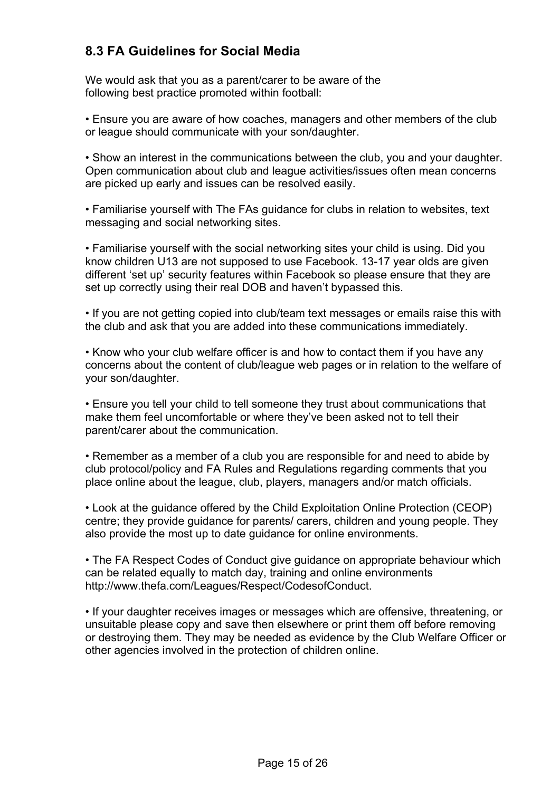## **8.3 FA Guidelines for Social Media**

We would ask that you as a parent/carer to be aware of the following best practice promoted within football:

• Ensure you are aware of how coaches, managers and other members of the club or league should communicate with your son/daughter.

• Show an interest in the communications between the club, you and your daughter. Open communication about club and league activities/issues often mean concerns are picked up early and issues can be resolved easily.

• Familiarise yourself with The FAs guidance for clubs in relation to websites, text messaging and social networking sites.

• Familiarise yourself with the social networking sites your child is using. Did you know children U13 are not supposed to use Facebook. 13-17 year olds are given different 'set up' security features within Facebook so please ensure that they are set up correctly using their real DOB and haven't bypassed this.

• If you are not getting copied into club/team text messages or emails raise this with the club and ask that you are added into these communications immediately.

• Know who your club welfare officer is and how to contact them if you have any concerns about the content of club/league web pages or in relation to the welfare of your son/daughter.

• Ensure you tell your child to tell someone they trust about communications that make them feel uncomfortable or where they've been asked not to tell their parent/carer about the communication.

• Remember as a member of a club you are responsible for and need to abide by club protocol/policy and FA Rules and Regulations regarding comments that you place online about the league, club, players, managers and/or match officials.

• Look at the guidance offered by the Child Exploitation Online Protection (CEOP) centre; they provide guidance for parents/ carers, children and young people. They also provide the most up to date guidance for online environments.

• The FA Respect Codes of Conduct give guidance on appropriate behaviour which can be related equally to match day, training and online environments http://www.thefa.com/Leagues/Respect/CodesofConduct.

• If your daughter receives images or messages which are offensive, threatening, or unsuitable please copy and save then elsewhere or print them off before removing or destroying them. They may be needed as evidence by the Club Welfare Officer or other agencies involved in the protection of children online.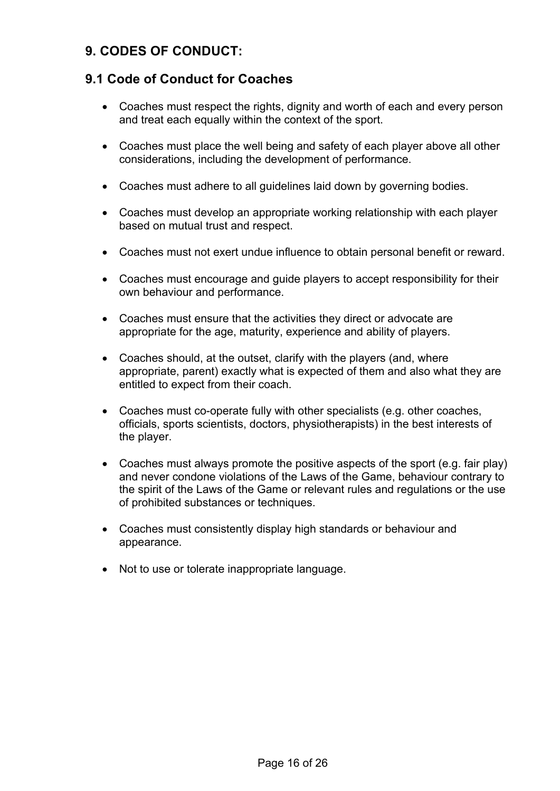## **9. CODES OF CONDUCT:**

#### **9.1 Code of Conduct for Coaches**

- Coaches must respect the rights, dignity and worth of each and every person and treat each equally within the context of the sport.
- Coaches must place the well being and safety of each player above all other considerations, including the development of performance.
- Coaches must adhere to all guidelines laid down by governing bodies.
- Coaches must develop an appropriate working relationship with each player based on mutual trust and respect.
- Coaches must not exert undue influence to obtain personal benefit or reward.
- Coaches must encourage and guide players to accept responsibility for their own behaviour and performance.
- Coaches must ensure that the activities they direct or advocate are appropriate for the age, maturity, experience and ability of players.
- Coaches should, at the outset, clarify with the players (and, where appropriate, parent) exactly what is expected of them and also what they are entitled to expect from their coach.
- Coaches must co-operate fully with other specialists (e.g. other coaches, officials, sports scientists, doctors, physiotherapists) in the best interests of the player.
- Coaches must always promote the positive aspects of the sport (e.g. fair play) and never condone violations of the Laws of the Game, behaviour contrary to the spirit of the Laws of the Game or relevant rules and regulations or the use of prohibited substances or techniques.
- Coaches must consistently display high standards or behaviour and appearance.
- Not to use or tolerate inappropriate language.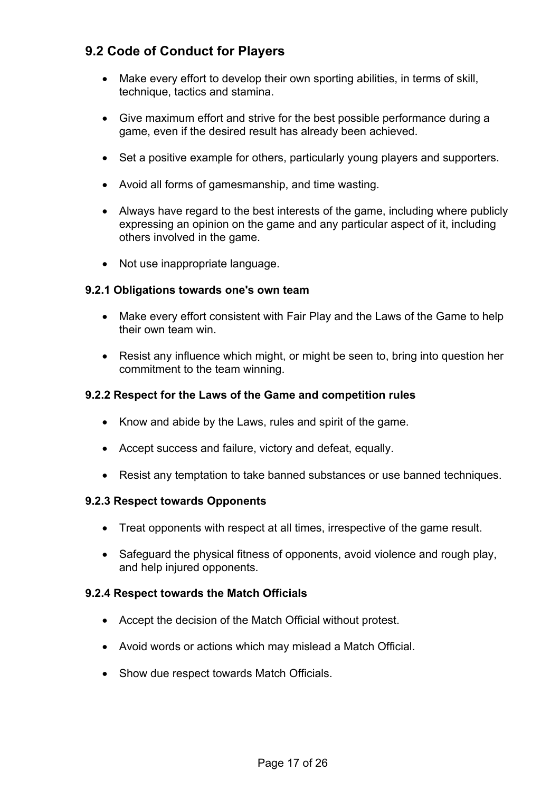## **9.2 Code of Conduct for Players**

- Make every effort to develop their own sporting abilities, in terms of skill, technique, tactics and stamina.
- Give maximum effort and strive for the best possible performance during a game, even if the desired result has already been achieved.
- Set a positive example for others, particularly young players and supporters.
- Avoid all forms of gamesmanship, and time wasting.
- Always have regard to the best interests of the game, including where publicly expressing an opinion on the game and any particular aspect of it, including others involved in the game.
- Not use inappropriate language.

#### **9.2.1 Obligations towards one's own team**

- Make every effort consistent with Fair Play and the Laws of the Game to help their own team win.
- Resist any influence which might, or might be seen to, bring into question her commitment to the team winning.

#### **9.2.2 Respect for the Laws of the Game and competition rules**

- Know and abide by the Laws, rules and spirit of the game.
- Accept success and failure, victory and defeat, equally.
- Resist any temptation to take banned substances or use banned techniques.

#### **9.2.3 Respect towards Opponents**

- Treat opponents with respect at all times, irrespective of the game result.
- Safeguard the physical fitness of opponents, avoid violence and rough play, and help injured opponents.

#### **9.2.4 Respect towards the Match Officials**

- Accept the decision of the Match Official without protest.
- Avoid words or actions which may mislead a Match Official.
- Show due respect towards Match Officials.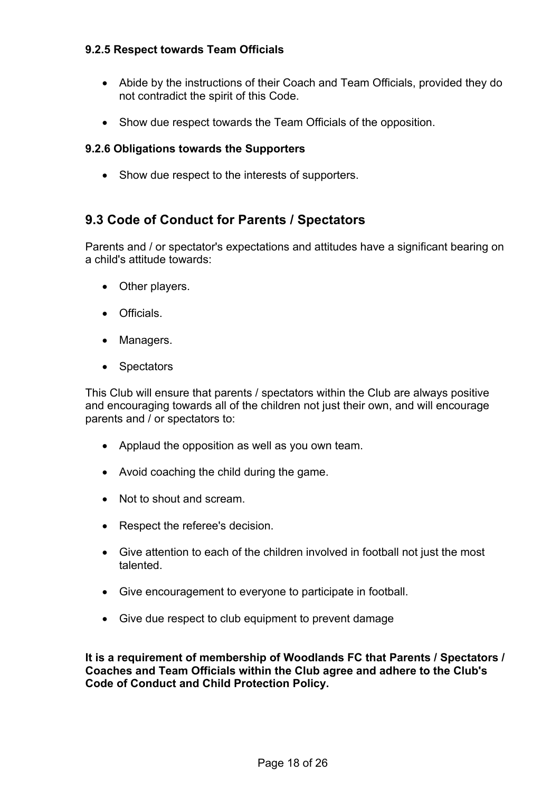#### **9.2.5 Respect towards Team Officials**

- Abide by the instructions of their Coach and Team Officials, provided they do not contradict the spirit of this Code.
- Show due respect towards the Team Officials of the opposition.

#### **9.2.6 Obligations towards the Supporters**

• Show due respect to the interests of supporters.

#### **9.3 Code of Conduct for Parents / Spectators**

Parents and / or spectator's expectations and attitudes have a significant bearing on a child's attitude towards:

- Other players.
- Officials.
- Managers.
- Spectators

This Club will ensure that parents / spectators within the Club are always positive and encouraging towards all of the children not just their own, and will encourage parents and / or spectators to:

- Applaud the opposition as well as you own team.
- Avoid coaching the child during the game.
- Not to shout and scream.
- Respect the referee's decision.
- Give attention to each of the children involved in football not just the most talented.
- Give encouragement to everyone to participate in football.
- Give due respect to club equipment to prevent damage

**It is a requirement of membership of Woodlands FC that Parents / Spectators / Coaches and Team Officials within the Club agree and adhere to the Club's Code of Conduct and Child Protection Policy.**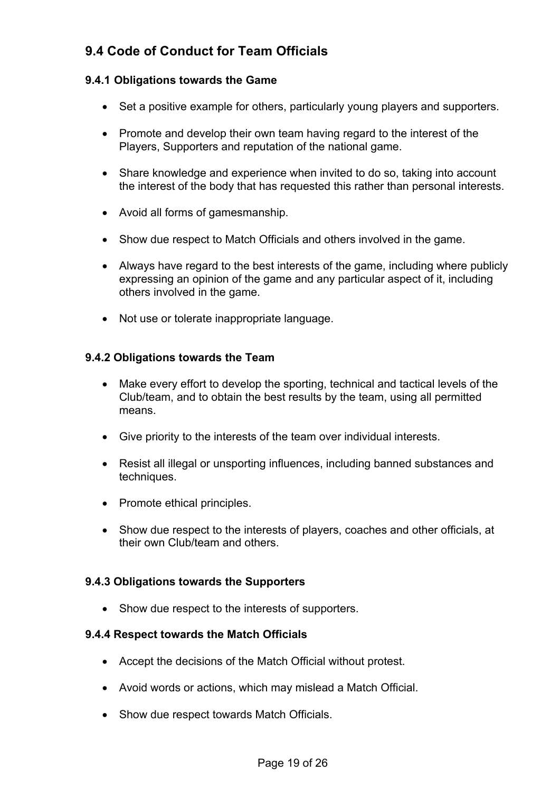## **9.4 Code of Conduct for Team Officials**

#### **9.4.1 Obligations towards the Game**

- Set a positive example for others, particularly young players and supporters.
- Promote and develop their own team having regard to the interest of the Players, Supporters and reputation of the national game.
- Share knowledge and experience when invited to do so, taking into account the interest of the body that has requested this rather than personal interests.
- Avoid all forms of gamesmanship.
- Show due respect to Match Officials and others involved in the game.
- Always have regard to the best interests of the game, including where publicly expressing an opinion of the game and any particular aspect of it, including others involved in the game.
- Not use or tolerate inappropriate language.

#### **9.4.2 Obligations towards the Team**

- Make every effort to develop the sporting, technical and tactical levels of the Club/team, and to obtain the best results by the team, using all permitted means.
- Give priority to the interests of the team over individual interests.
- Resist all illegal or unsporting influences, including banned substances and techniques.
- Promote ethical principles.
- Show due respect to the interests of players, coaches and other officials, at their own Club/team and others.

#### **9.4.3 Obligations towards the Supporters**

• Show due respect to the interests of supporters.

#### **9.4.4 Respect towards the Match Officials**

- Accept the decisions of the Match Official without protest.
- Avoid words or actions, which may mislead a Match Official.
- Show due respect towards Match Officials.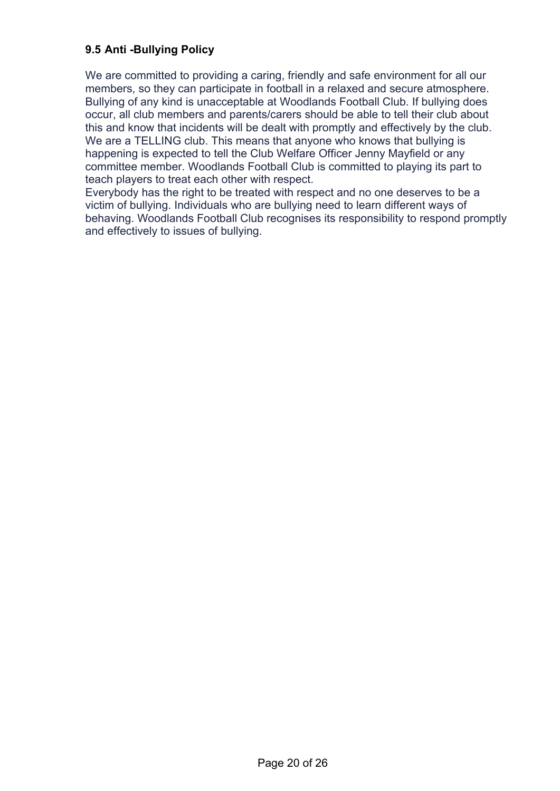#### **9.5 Anti -Bullying Policy**

We are committed to providing a caring, friendly and safe environment for all our members, so they can participate in football in a relaxed and secure atmosphere. Bullying of any kind is unacceptable at Woodlands Football Club. If bullying does occur, all club members and parents/carers should be able to tell their club about this and know that incidents will be dealt with promptly and effectively by the club. We are a TELLING club. This means that anyone who knows that bullying is happening is expected to tell the Club Welfare Officer Jenny Mayfield or any committee member. Woodlands Football Club is committed to playing its part to teach players to treat each other with respect.

Everybody has the right to be treated with respect and no one deserves to be a victim of bullying. Individuals who are bullying need to learn different ways of behaving. Woodlands Football Club recognises its responsibility to respond promptly and effectively to issues of bullying.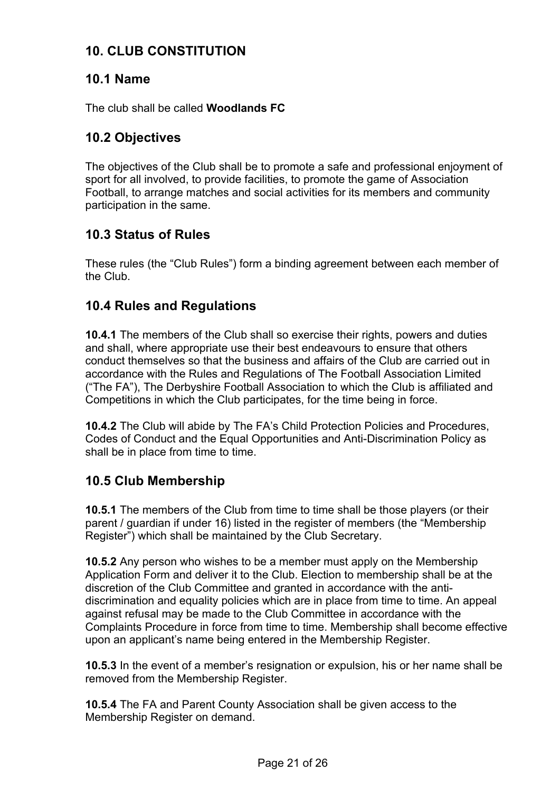## **10. CLUB CONSTITUTION**

#### **10.1 Name**

The club shall be called **Woodlands FC**

## **10.2 Objectives**

The objectives of the Club shall be to promote a safe and professional enjoyment of sport for all involved, to provide facilities, to promote the game of Association Football, to arrange matches and social activities for its members and community participation in the same.

## **10.3 Status of Rules**

These rules (the "Club Rules") form a binding agreement between each member of the Club.

## **10.4 Rules and Regulations**

**10.4.1** The members of the Club shall so exercise their rights, powers and duties and shall, where appropriate use their best endeavours to ensure that others conduct themselves so that the business and affairs of the Club are carried out in accordance with the Rules and Regulations of The Football Association Limited ("The FA"), The Derbyshire Football Association to which the Club is affiliated and Competitions in which the Club participates, for the time being in force.

**10.4.2** The Club will abide by The FA's Child Protection Policies and Procedures, Codes of Conduct and the Equal Opportunities and Anti-Discrimination Policy as shall be in place from time to time.

## **10.5 Club Membership**

**10.5.1** The members of the Club from time to time shall be those players (or their parent / guardian if under 16) listed in the register of members (the "Membership Register") which shall be maintained by the Club Secretary.

**10.5.2** Any person who wishes to be a member must apply on the Membership Application Form and deliver it to the Club. Election to membership shall be at the discretion of the Club Committee and granted in accordance with the antidiscrimination and equality policies which are in place from time to time. An appeal against refusal may be made to the Club Committee in accordance with the Complaints Procedure in force from time to time. Membership shall become effective upon an applicant's name being entered in the Membership Register.

**10.5.3** In the event of a member's resignation or expulsion, his or her name shall be removed from the Membership Register.

**10.5.4** The FA and Parent County Association shall be given access to the Membership Register on demand.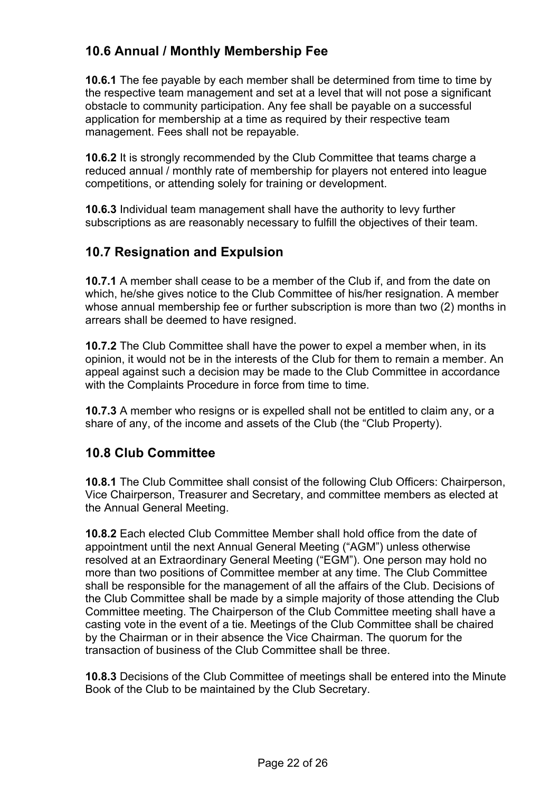## **10.6 Annual / Monthly Membership Fee**

**10.6.1** The fee payable by each member shall be determined from time to time by the respective team management and set at a level that will not pose a significant obstacle to community participation. Any fee shall be payable on a successful application for membership at a time as required by their respective team management. Fees shall not be repayable.

**10.6.2** It is strongly recommended by the Club Committee that teams charge a reduced annual / monthly rate of membership for players not entered into league competitions, or attending solely for training or development.

**10.6.3** Individual team management shall have the authority to levy further subscriptions as are reasonably necessary to fulfill the objectives of their team.

## **10.7 Resignation and Expulsion**

**10.7.1** A member shall cease to be a member of the Club if, and from the date on which, he/she gives notice to the Club Committee of his/her resignation. A member whose annual membership fee or further subscription is more than two (2) months in arrears shall be deemed to have resigned.

**10.7.2** The Club Committee shall have the power to expel a member when, in its opinion, it would not be in the interests of the Club for them to remain a member. An appeal against such a decision may be made to the Club Committee in accordance with the Complaints Procedure in force from time to time.

**10.7.3** A member who resigns or is expelled shall not be entitled to claim any, or a share of any, of the income and assets of the Club (the "Club Property).

## **10.8 Club Committee**

**10.8.1** The Club Committee shall consist of the following Club Officers: Chairperson, Vice Chairperson, Treasurer and Secretary, and committee members as elected at the Annual General Meeting.

**10.8.2** Each elected Club Committee Member shall hold office from the date of appointment until the next Annual General Meeting ("AGM") unless otherwise resolved at an Extraordinary General Meeting ("EGM"). One person may hold no more than two positions of Committee member at any time. The Club Committee shall be responsible for the management of all the affairs of the Club. Decisions of the Club Committee shall be made by a simple majority of those attending the Club Committee meeting. The Chairperson of the Club Committee meeting shall have a casting vote in the event of a tie. Meetings of the Club Committee shall be chaired by the Chairman or in their absence the Vice Chairman. The quorum for the transaction of business of the Club Committee shall be three.

**10.8.3** Decisions of the Club Committee of meetings shall be entered into the Minute Book of the Club to be maintained by the Club Secretary.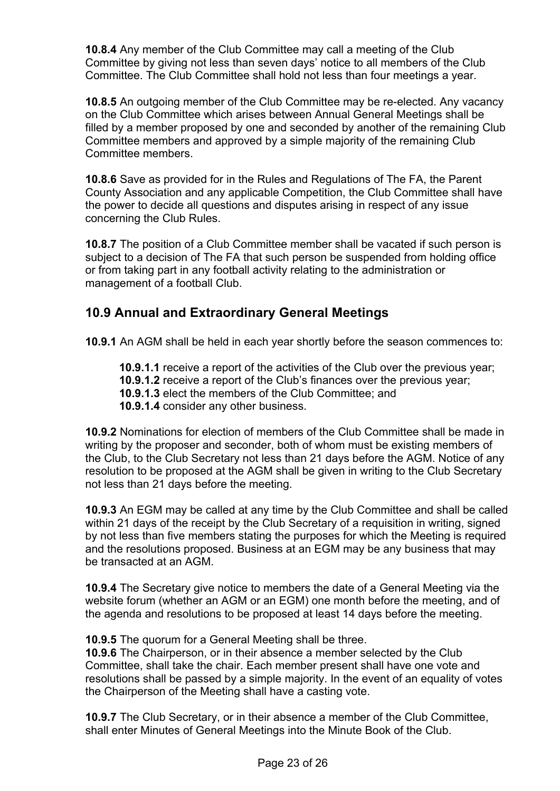**10.8.4** Any member of the Club Committee may call a meeting of the Club Committee by giving not less than seven days' notice to all members of the Club Committee. The Club Committee shall hold not less than four meetings a year.

**10.8.5** An outgoing member of the Club Committee may be re-elected. Any vacancy on the Club Committee which arises between Annual General Meetings shall be filled by a member proposed by one and seconded by another of the remaining Club Committee members and approved by a simple majority of the remaining Club Committee members.

**10.8.6** Save as provided for in the Rules and Regulations of The FA, the Parent County Association and any applicable Competition, the Club Committee shall have the power to decide all questions and disputes arising in respect of any issue concerning the Club Rules.

**10.8.7** The position of a Club Committee member shall be vacated if such person is subject to a decision of The FA that such person be suspended from holding office or from taking part in any football activity relating to the administration or management of a football Club.

## **10.9 Annual and Extraordinary General Meetings**

**10.9.1** An AGM shall be held in each year shortly before the season commences to:

**10.9.1.1** receive a report of the activities of the Club over the previous year;

- **10.9.1.2** receive a report of the Club's finances over the previous year;
- **10.9.1.3** elect the members of the Club Committee; and
- **10.9.1.4** consider any other business.

**10.9.2** Nominations for election of members of the Club Committee shall be made in writing by the proposer and seconder, both of whom must be existing members of the Club, to the Club Secretary not less than 21 days before the AGM. Notice of any resolution to be proposed at the AGM shall be given in writing to the Club Secretary not less than 21 days before the meeting.

**10.9.3** An EGM may be called at any time by the Club Committee and shall be called within 21 days of the receipt by the Club Secretary of a requisition in writing, signed by not less than five members stating the purposes for which the Meeting is required and the resolutions proposed. Business at an EGM may be any business that may be transacted at an AGM.

**10.9.4** The Secretary give notice to members the date of a General Meeting via the website forum (whether an AGM or an EGM) one month before the meeting, and of the agenda and resolutions to be proposed at least 14 days before the meeting.

**10.9.5** The quorum for a General Meeting shall be three.

**10.9.6** The Chairperson, or in their absence a member selected by the Club Committee, shall take the chair. Each member present shall have one vote and resolutions shall be passed by a simple majority. In the event of an equality of votes the Chairperson of the Meeting shall have a casting vote.

**10.9.7** The Club Secretary, or in their absence a member of the Club Committee, shall enter Minutes of General Meetings into the Minute Book of the Club.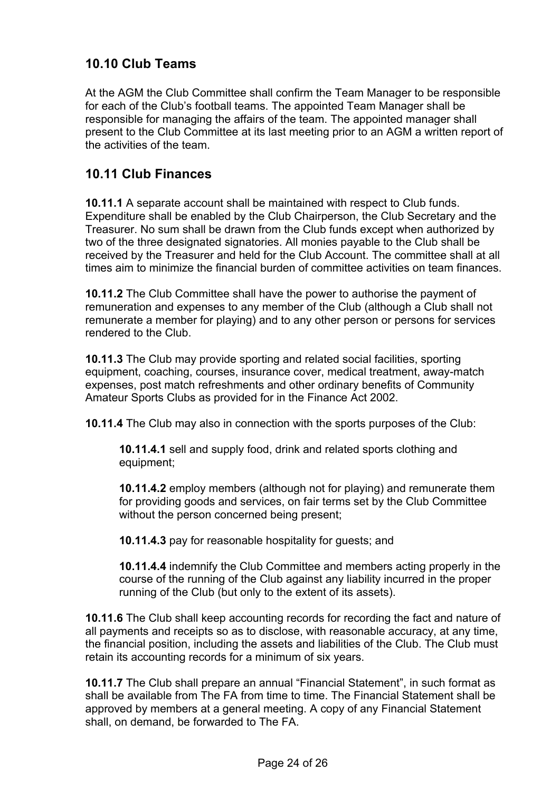## **10.10 Club Teams**

At the AGM the Club Committee shall confirm the Team Manager to be responsible for each of the Club's football teams. The appointed Team Manager shall be responsible for managing the affairs of the team. The appointed manager shall present to the Club Committee at its last meeting prior to an AGM a written report of the activities of the team.

## **10.11 Club Finances**

**10.11.1** A separate account shall be maintained with respect to Club funds. Expenditure shall be enabled by the Club Chairperson, the Club Secretary and the Treasurer. No sum shall be drawn from the Club funds except when authorized by two of the three designated signatories. All monies payable to the Club shall be received by the Treasurer and held for the Club Account. The committee shall at all times aim to minimize the financial burden of committee activities on team finances.

**10.11.2** The Club Committee shall have the power to authorise the payment of remuneration and expenses to any member of the Club (although a Club shall not remunerate a member for playing) and to any other person or persons for services rendered to the Club.

**10.11.3** The Club may provide sporting and related social facilities, sporting equipment, coaching, courses, insurance cover, medical treatment, away-match expenses, post match refreshments and other ordinary benefits of Community Amateur Sports Clubs as provided for in the Finance Act 2002.

**10.11.4** The Club may also in connection with the sports purposes of the Club:

**10.11.4.1** sell and supply food, drink and related sports clothing and equipment;

**10.11.4.2** employ members (although not for playing) and remunerate them for providing goods and services, on fair terms set by the Club Committee without the person concerned being present;

**10.11.4.3** pay for reasonable hospitality for guests; and

**10.11.4.4** indemnify the Club Committee and members acting properly in the course of the running of the Club against any liability incurred in the proper running of the Club (but only to the extent of its assets).

**10.11.6** The Club shall keep accounting records for recording the fact and nature of all payments and receipts so as to disclose, with reasonable accuracy, at any time, the financial position, including the assets and liabilities of the Club. The Club must retain its accounting records for a minimum of six years.

**10.11.7** The Club shall prepare an annual "Financial Statement", in such format as shall be available from The FA from time to time. The Financial Statement shall be approved by members at a general meeting. A copy of any Financial Statement shall, on demand, be forwarded to The FA.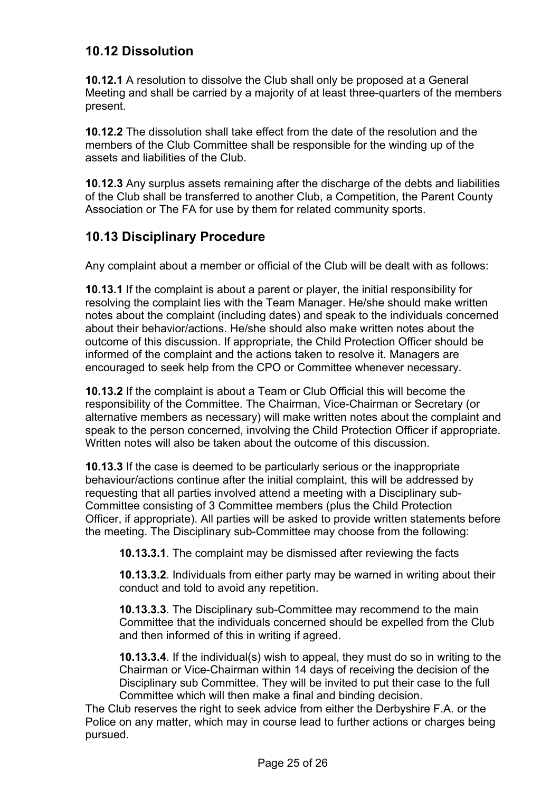## **10.12 Dissolution**

**10.12.1** A resolution to dissolve the Club shall only be proposed at a General Meeting and shall be carried by a majority of at least three-quarters of the members present.

**10.12.2** The dissolution shall take effect from the date of the resolution and the members of the Club Committee shall be responsible for the winding up of the assets and liabilities of the Club.

**10.12.3** Any surplus assets remaining after the discharge of the debts and liabilities of the Club shall be transferred to another Club, a Competition, the Parent County Association or The FA for use by them for related community sports.

## **10.13 Disciplinary Procedure**

Any complaint about a member or official of the Club will be dealt with as follows:

**10.13.1** If the complaint is about a parent or player, the initial responsibility for resolving the complaint lies with the Team Manager. He/she should make written notes about the complaint (including dates) and speak to the individuals concerned about their behavior/actions. He/she should also make written notes about the outcome of this discussion. If appropriate, the Child Protection Officer should be informed of the complaint and the actions taken to resolve it. Managers are encouraged to seek help from the CPO or Committee whenever necessary.

**10.13.2** If the complaint is about a Team or Club Official this will become the responsibility of the Committee. The Chairman, Vice-Chairman or Secretary (or alternative members as necessary) will make written notes about the complaint and speak to the person concerned, involving the Child Protection Officer if appropriate. Written notes will also be taken about the outcome of this discussion.

**10.13.3** If the case is deemed to be particularly serious or the inappropriate behaviour/actions continue after the initial complaint, this will be addressed by requesting that all parties involved attend a meeting with a Disciplinary sub-Committee consisting of 3 Committee members (plus the Child Protection Officer, if appropriate). All parties will be asked to provide written statements before the meeting. The Disciplinary sub-Committee may choose from the following:

**10.13.3.1**. The complaint may be dismissed after reviewing the facts

**10.13.3.2**. Individuals from either party may be warned in writing about their conduct and told to avoid any repetition.

**10.13.3.3**. The Disciplinary sub-Committee may recommend to the main Committee that the individuals concerned should be expelled from the Club and then informed of this in writing if agreed.

**10.13.3.4**. If the individual(s) wish to appeal, they must do so in writing to the Chairman or Vice-Chairman within 14 days of receiving the decision of the Disciplinary sub Committee. They will be invited to put their case to the full Committee which will then make a final and binding decision.

The Club reserves the right to seek advice from either the Derbyshire F.A. or the Police on any matter, which may in course lead to further actions or charges being pursued.